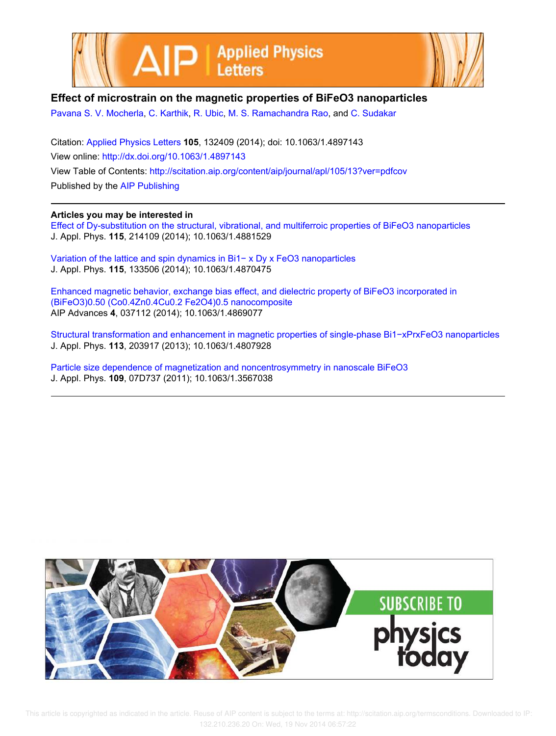



## **Effect of microstrain on the magnetic properties of BiFeO3 nanoparticles**

Pavana S. V. Mocherla, C. Karthik, R. Ubic, M. S. Ramachandra Rao, and C. Sudakar

Citation: Applied Physics Letters **105**, 132409 (2014); doi: 10.1063/1.4897143 View online: http://dx.doi.org/10.1063/1.4897143 View Table of Contents: http://scitation.aip.org/content/aip/journal/apl/105/13?ver=pdfcov Published by the AIP Publishing

## **Articles you may be interested in**

Effect of Dy-substitution on the structural, vibrational, and multiferroic properties of BiFeO3 nanoparticles J. Appl. Phys. **115**, 214109 (2014); 10.1063/1.4881529

Variation of the lattice and spin dynamics in Bi1− x Dy x FeO3 nanoparticles J. Appl. Phys. **115**, 133506 (2014); 10.1063/1.4870475

Enhanced magnetic behavior, exchange bias effect, and dielectric property of BiFeO3 incorporated in (BiFeO3)0.50 (Co0.4Zn0.4Cu0.2 Fe2O4)0.5 nanocomposite AIP Advances **4**, 037112 (2014); 10.1063/1.4869077

Structural transformation and enhancement in magnetic properties of single-phase Bi1−xPrxFeO3 nanoparticles J. Appl. Phys. **113**, 203917 (2013); 10.1063/1.4807928

Particle size dependence of magnetization and noncentrosymmetry in nanoscale BiFeO3 J. Appl. Phys. **109**, 07D737 (2011); 10.1063/1.3567038



 This article is copyrighted as indicated in the article. Reuse of AIP content is subject to the terms at: http://scitation.aip.org/termsconditions. Downloaded to IP: 132.210.236.20 On: Wed, 19 Nov 2014 06:57:22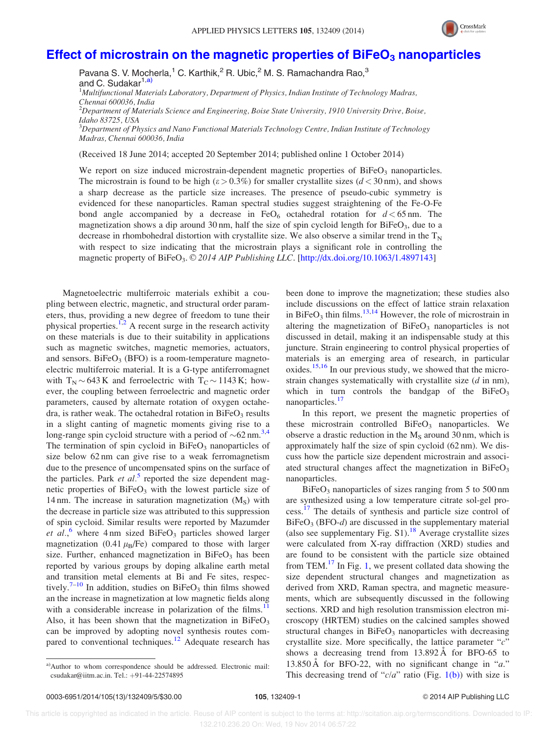

## Effect of microstrain on the magnetic properties of  $B$ iFeO<sub>3</sub> nanoparticles

Pavana S. V. Mocherla,<sup>1</sup> C. Karthik,<sup>2</sup> R. Ubic,<sup>2</sup> M. S. Ramachandra Rao,<sup>3</sup> and C. Sudakar<sup>1,a)</sup> <sup>1</sup>Multifunctional Materials Laboratory, Department of Physics, Indian Institute of Technology Madras, Chennai 600036, India  $^2$ Department of Materials Science and Engineering, Boise State University, 1910 University Drive, Boise,

Idaho 83725, USA  $3$ Department of Physics and Nano Functional Materials Technology Centre, Indian Institute of Technology Madras, Chennai 600036, India

(Received 18 June 2014; accepted 20 September 2014; published online 1 October 2014)

We report on size induced microstrain-dependent magnetic properties of  $BiFeO<sub>3</sub>$  nanoparticles. The microstrain is found to be high ( $\varepsilon > 0.3\%$ ) for smaller crystallite sizes ( $d < 30 \text{ nm}$ ), and shows a sharp decrease as the particle size increases. The presence of pseudo-cubic symmetry is evidenced for these nanoparticles. Raman spectral studies suggest straightening of the Fe-O-Fe bond angle accompanied by a decrease in  $FeO<sub>6</sub>$  octahedral rotation for  $d < 65$  nm. The magnetization shows a dip around 30 nm, half the size of spin cycloid length for  $BiFeO<sub>3</sub>$ , due to a decrease in rhombohedral distortion with crystallite size. We also observe a similar trend in the  $T_N$ with respect to size indicating that the microstrain plays a significant role in controlling the magnetic property of BiFeO<sub>3</sub>. © 2014 AIP Publishing LLC. [http://dx.doi.org/10.1063/1.4897143]

Magnetoelectric multiferroic materials exhibit a coupling between electric, magnetic, and structural order parameters, thus, providing a new degree of freedom to tune their physical properties.<sup>1,2</sup> A recent surge in the research activity on these materials is due to their suitability in applications such as magnetic switches, magnetic memories, actuators, and sensors.  $BiFeO<sub>3</sub>$  (BFO) is a room-temperature magnetoelectric multiferroic material. It is a G-type antiferromagnet with  $T_N \sim 643 \text{ K}$  and ferroelectric with  $T_C \sim 1143 \text{ K}$ ; however, the coupling between ferroelectric and magnetic order parameters, caused by alternate rotation of oxygen octahedra, is rather weak. The octahedral rotation in  $BiFeO<sub>3</sub>$  results in a slight canting of magnetic moments giving rise to a long-range spin cycloid structure with a period of  $\sim 62$  nm.<sup>3,4</sup> The termination of spin cycloid in  $BiFeO<sub>3</sub>$  nanoparticles of size below 62 nm can give rise to a weak ferromagnetism due to the presence of uncompensated spins on the surface of the particles. Park et  $al$ <sup>5</sup> reported the size dependent magnetic properties of  $BiFeO<sub>3</sub>$  with the lowest particle size of 14 nm. The increase in saturation magnetization  $(M<sub>S</sub>)$  with the decrease in particle size was attributed to this suppression of spin cycloid. Similar results were reported by Mazumder et al.,<sup>6</sup> where 4 nm sized BiFeO<sub>3</sub> particles showed larger magnetization (0.41  $\mu$ <sub>B</sub>/Fe) compared to those with larger size. Further, enhanced magnetization in  $BiFeO<sub>3</sub>$  has been reported by various groups by doping alkaline earth metal and transition metal elements at Bi and Fe sites, respectively.<sup>7–10</sup> In addition, studies on BiFeO<sub>3</sub> thin films showed an the increase in magnetization at low magnetic fields along with a considerable increase in polarization of the films.<sup>11</sup> Also, it has been shown that the magnetization in  $BiFeO<sub>3</sub>$ can be improved by adopting novel synthesis routes compared to conventional techniques.<sup>12</sup> Adequate research has been done to improve the magnetization; these studies also include discussions on the effect of lattice strain relaxation in BiFeO<sub>3</sub> thin films.<sup>13,14</sup> However, the role of microstrain in altering the magnetization of  $BiFeO<sub>3</sub>$  nanoparticles is not discussed in detail, making it an indispensable study at this juncture. Strain engineering to control physical properties of materials is an emerging area of research, in particular oxides.<sup>15,16</sup> In our previous study, we showed that the microstrain changes systematically with crystallite size (d in nm), which in turn controls the bandgap of the  $BiFeO<sub>3</sub>$ nanoparticles.<sup>17</sup>

In this report, we present the magnetic properties of these microstrain controlled  $BiFeO<sub>3</sub>$  nanoparticles. We observe a drastic reduction in the  $M<sub>S</sub>$  around 30 nm, which is approximately half the size of spin cycloid (62 nm). We discuss how the particle size dependent microstrain and associated structural changes affect the magnetization in  $BiFeO<sub>3</sub>$ nanoparticles.

 $BiFeO<sub>3</sub>$  nanoparticles of sizes ranging from 5 to 500 nm are synthesized using a low temperature citrate sol-gel process.<sup>17</sup> The details of synthesis and particle size control of  $BiFeO<sub>3</sub> (BFO-d)$  are discussed in the supplementary material (also see supplementary Fig.  $S1$ ).<sup>18</sup> Average crystallite sizes were calculated from X-ray diffraction (XRD) studies and are found to be consistent with the particle size obtained from TEM. $^{17}$  In Fig. 1, we present collated data showing the size dependent structural changes and magnetization as derived from XRD, Raman spectra, and magnetic measurements, which are subsequently discussed in the following sections. XRD and high resolution transmission electron microscopy (HRTEM) studies on the calcined samples showed structural changes in  $BiFeO<sub>3</sub>$  nanoparticles with decreasing crystallite size. More specifically, the lattice parameter " $c$ " shows a decreasing trend from  $13.892 \text{ Å}$  for BFO-65 to 13.850 Å for BFO-22, with no significant change in " $a$ ." This decreasing trend of " $c/a$ " ratio (Fig. 1(b)) with size is

a)Author to whom correspondence should be addressed. Electronic mail: csudakar@iitm.ac.in. Tel.: +91-44-22574895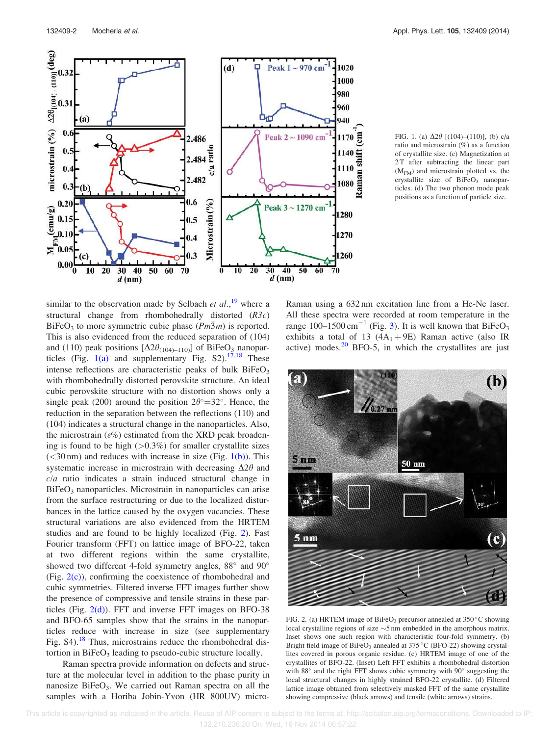

FIG. 1. (a)  $\Delta 2\theta$  [(104)–(110)], (b) c/a ratio and microstrain (%) as a function of crystallite size. (c) Magnetization at 2T after subtracting the linear part  $(M<sub>FM</sub>)$  and microstrain plotted vs. the crystallite size of  $BiFeO<sub>3</sub>$  nanoparticles. (d) The two phonon mode peak positions as a function of particle size.

similar to the observation made by Selbach *et al.*,<sup>19</sup> where a structural change from rhombohedrally distorted  $(R3c)$ BiFeO<sub>3</sub> to more symmetric cubic phase  $(Pm\bar{3}m)$  is reported. This is also evidenced from the reduced separation of (104) and (110) peak positions  $[\Delta 2\theta_{(104)-110}]$  of BiFeO<sub>3</sub> nanoparticles (Fig.  $1(a)$  and supplementary Fig. S2).<sup>17,18</sup> These intense reflections are characteristic peaks of bulk  $BiFeO<sub>3</sub>$ with rhombohedrally distorted perovskite structure. An ideal cubic perovskite structure with no distortion shows only a single peak (200) around the position  $2\theta^{\circ} = 32^{\circ}$ . Hence, the reduction in the separation between the reflections (110) and (104) indicates a structural change in the nanoparticles. Also, the microstrain ( $\varepsilon\%$ ) estimated from the XRD peak broadening is found to be high  $(>0.3\%)$  for smaller crystallite sizes  $(<$ 30 nm) and reduces with increase in size (Fig. 1(b)). This systematic increase in microstrain with decreasing  $\Delta 2\theta$  and  $c/a$  ratio indicates a strain induced structural change in  $BiFeO<sub>3</sub>$  nanoparticles. Microstrain in nanoparticles can arise from the surface restructuring or due to the localized disturbances in the lattice caused by the oxygen vacancies. These structural variations are also evidenced from the HRTEM studies and are found to be highly localized (Fig. 2). Fast Fourier transform (FFT) on lattice image of BFO-22, taken at two different regions within the same crystallite, showed two different 4-fold symmetry angles,  $88^\circ$  and  $90^\circ$ (Fig.  $2(c)$ ), confirming the coexistence of rhombohedral and cubic symmetries. Filtered inverse FFT images further show the presence of compressive and tensile strains in these particles (Fig.  $2(d)$ ). FFT and inverse FFT images on BFO-38 and BFO-65 samples show that the strains in the nanoparticles reduce with increase in size (see supplementary Fig.  $S4$ ).<sup>18</sup> Thus, microstrains reduce the rhombohedral distortion in  $BiFeO<sub>3</sub>$  leading to pseudo-cubic structure locally.

Raman spectra provide information on defects and structure at the molecular level in addition to the phase purity in nanosize BiFeO<sub>3</sub>. We carried out Raman spectra on all the samples with a Horiba Jobin-Yvon (HR 800UV) micro-

Raman using a 632 nm excitation line from a He-Ne laser. All these spectra were recorded at room temperature in the range  $100-1500 \text{ cm}^{-1}$  (Fig. 3). It is well known that BiFeO<sub>3</sub> exhibits a total of 13  $(4A<sub>1</sub> + 9E)$  Raman active (also IR active) modes. $20$  BFO-5, in which the crystallites are just



FIG. 2. (a) HRTEM image of BiFeO<sub>3</sub> precursor annealed at  $350^{\circ}$ C showing local crystalline regions of size  $\sim$ 5 nm embedded in the amorphous matrix. Inset shows one such region with characteristic four-fold symmetry. (b) Bright field image of BiFeO<sub>3</sub> annealed at  $375^{\circ}$ C (BFO-22) showing crystallites covered in porous organic residue. (c) HRTEM image of one of the crystallites of BFO-22. (Inset) Left FFT exhibits a rhombohedral distortion with 88° and the right FFT shows cubic symmetry with 90° suggesting the local structural changes in highly strained BFO-22 crystallite. (d) Filtered lattice image obtained from selectively masked FFT of the same crystallite showing compressive (black arrows) and tensile (white arrows) strains.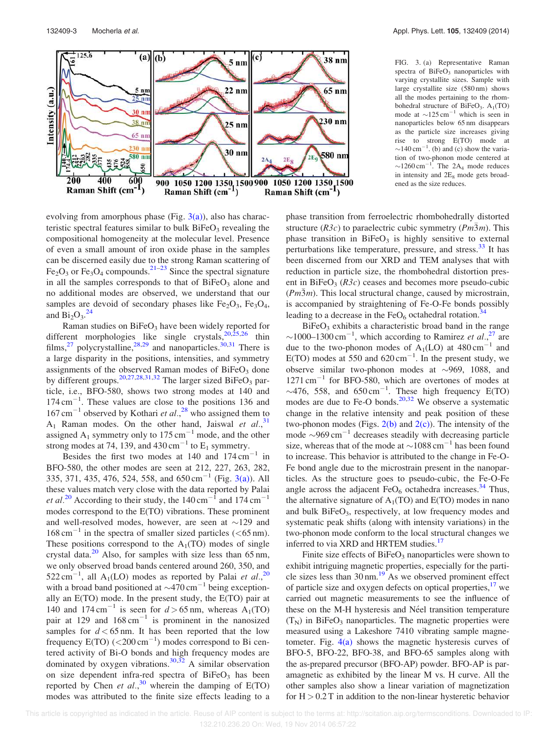

evolving from amorphous phase (Fig.  $3(a)$ ), also has characteristic spectral features similar to bulk  $BiFeO<sub>3</sub>$  revealing the compositional homogeneity at the molecular level. Presence of even a small amount of iron oxide phase in the samples can be discerned easily due to the strong Raman scattering of  $Fe<sub>2</sub>O<sub>3</sub>$  or  $Fe<sub>3</sub>O<sub>4</sub>$  compounds.<sup>21–23</sup> Since the spectral signature in all the samples corresponds to that of  $BiFeO<sub>3</sub>$  alone and no additional modes are observed, we understand that our samples are devoid of secondary phases like  $Fe<sub>2</sub>O<sub>3</sub>$ ,  $Fe<sub>3</sub>O<sub>4</sub>$ , and  $\overline{Bi}_2O_3$ .<sup>24</sup>

Raman studies on  $BiFeO<sub>3</sub>$  have been widely reported for different morphologies like single crystals,<sup>20,25,26</sup> thin films,<sup>27</sup> polycrystalline,<sup>28,29</sup> and nanoparticles.<sup>30,31</sup> There is a large disparity in the positions, intensities, and symmetry assignments of the observed Raman modes of  $BiFeO<sub>3</sub>$  done by different groups.<sup>20,27,28,31,32</sup> The larger sized  $BiFeO<sub>3</sub>$  particle, i.e., BFO-580, shows two strong modes at 140 and  $174 \text{ cm}^{-1}$ . These values are close to the positions 136 and  $167 \text{ cm}^{-1}$  observed by Kothari et al.,<sup>28</sup> who assigned them to  $A_1$  Raman modes. On the other hand, Jaiswal et al., <sup>31</sup> assigned  $A_1$  symmetry only to 175 cm<sup>-1</sup> mode, and the other strong modes at 74, 139, and  $430 \text{ cm}^{-1}$  to  $E_1$  symmetry.

Besides the first two modes at  $140$  and  $174 \text{ cm}^{-1}$  in BFO-580, the other modes are seen at 212, 227, 263, 282, 335, 371, 435, 476, 524, 558, and  $650 \text{ cm}^{-1}$  (Fig. 3(a)). All these values match very close with the data reported by Palai *et al.*<sup>20</sup> According to their study, the  $140 \text{ cm}^{-1}$  and  $174 \text{ cm}^{-1}$ modes correspond to the E(TO) vibrations. These prominent and well-resolved modes, however, are seen at  $\sim$ 129 and  $168 \text{ cm}^{-1}$  in the spectra of smaller sized particles (<65 nm). These positions correspond to the  $A_1(TO)$  modes of single crystal data. $^{20}$  Also, for samples with size less than 65 nm, we only observed broad bands centered around 260, 350, and 522 cm<sup>-1</sup>, all A<sub>1</sub>(LO) modes as reported by Palai et al.,<sup>20</sup> with a broad band positioned at  $\sim$ 470 cm<sup>-1</sup> being exceptionally an E(TO) mode. In the present study, the E(TO) pair at 140 and  $174 \text{ cm}^{-1}$  is seen for  $d > 65 \text{ nm}$ , whereas  $A_1(TO)$ pair at 129 and  $168 \text{ cm}^{-1}$  is prominent in the nanosized samples for  $d < 65$  nm. It has been reported that the low frequency  $E(TO)$  (<200 cm<sup>-1</sup>) modes correspond to Bi centered activity of Bi-O bonds and high frequency modes are dominated by oxygen vibrations.<sup>30,32</sup> A similar observation on size dependent infra-red spectra of  $BiFeO<sub>3</sub>$  has been reported by Chen et al.,<sup>30</sup> wherein the damping of E(TO) modes was attributed to the finite size effects leading to a FIG. 3. (a) Representative Raman spectra of  $BiFeO<sub>3</sub>$  nanoparticles with varying crystallite sizes. Sample with large crystallite size (580 nm) shows all the modes pertaining to the rhombohedral structure of  $BiFeO<sub>3</sub>$ .  $A<sub>1</sub>(TO)$ mode at  $\sim$ 125 cm<sup>-1</sup> which is seen in nanoparticles below 65 nm disappears as the particle size increases giving rise to strong E(TO) mode at  $\sim$ 140 cm<sup>-1</sup>. (b) and (c) show the variation of two-phonon mode centered at  $\sim$ 1260 cm<sup>-1</sup>. The 2A<sub>4</sub> mode reduces in intensity and  $2E_8$  mode gets broadened as the size reduces.

phase transition from ferroelectric rhombohedrally distorted structure  $(R3c)$  to paraelectric cubic symmetry  $(Pm\overline{3}m)$ . This phase transition in  $BiFeO<sub>3</sub>$  is highly sensitive to external perturbations like temperature, pressure, and stress. $33$  It has been discerned from our XRD and TEM analyses that with reduction in particle size, the rhombohedral distortion present in BiFeO<sub>3</sub> ( $R3c$ ) ceases and becomes more pseudo-cubic  $(m\bar{3}m)$ . This local structural change, caused by microstrain, is accompanied by straightening of Fe-O-Fe bonds possibly leading to a decrease in the  $FeO<sub>6</sub>$  octahedral rotation.<sup>34</sup>

 $BiFeO<sub>3</sub>$  exhibits a characteristic broad band in the range ~1000–1300 cm<sup>-1</sup>, which according to Ramirez et al.,<sup>27</sup> are due to the two-phonon modes of  $A_1(LO)$  at 480 cm<sup>-1</sup> and E(TO) modes at 550 and  $620 \text{ cm}^{-1}$ . In the present study, we observe similar two-phonon modes at  $\sim$ 969, 1088, and  $1271 \text{ cm}^{-1}$  for BFO-580, which are overtones of modes at  $\sim$ 476, 558, and 650 cm<sup>-1</sup>. These high frequency E(TO) modes are due to Fe-O bonds.<sup>20,32</sup> We observe a systematic change in the relative intensity and peak position of these two-phonon modes (Figs.  $2(b)$  and  $2(c)$ ). The intensity of the mode  $\sim$ 969 cm<sup>-1</sup> decreases steadily with decreasing particle size, whereas that of the mode at  $\sim 1088 \text{ cm}^{-1}$  has been found to increase. This behavior is attributed to the change in Fe-O-Fe bond angle due to the microstrain present in the nanoparticles. As the structure goes to pseudo-cubic, the Fe-O-Fe angle across the adjacent  $FeO<sub>6</sub>$  octahedra increases.<sup>34</sup> Thus, the alternative signature of  $A_1(TO)$  and  $E(TO)$  modes in nano and bulk  $BiFeO<sub>3</sub>$ , respectively, at low frequency modes and systematic peak shifts (along with intensity variations) in the two-phonon mode conform to the local structural changes we inferred to via XRD and HRTEM studies.<sup>17</sup>

Finite size effects of  $BiFeO<sub>3</sub>$  nanoparticles were shown to exhibit intriguing magnetic properties, especially for the particle sizes less than  $30 \text{ nm}$ .<sup>19</sup> As we observed prominent effect of particle size and oxygen defects on optical properties, $17$  we carried out magnetic measurements to see the influence of these on the M-H hysteresis and Néel transition temperature  $(T<sub>N</sub>)$  in BiFeO<sub>3</sub> nanoparticles. The magnetic properties were measured using a Lakeshore 7410 vibrating sample magnetometer. Fig.  $4(a)$  shows the magnetic hysteresis curves of BFO-5, BFO-22, BFO-38, and BFO-65 samples along with the as-prepared precursor (BFO-AP) powder. BFO-AP is paramagnetic as exhibited by the linear M vs. H curve. All the other samples also show a linear variation of magnetization for  $H > 0.2$  T in addition to the non-linear hysteretic behavior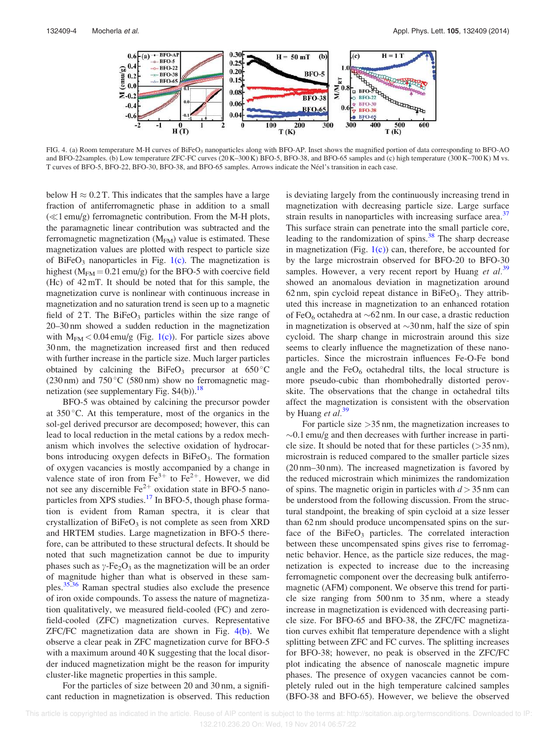

FIG. 4. (a) Room temperature M-H curves of BiFeO<sub>3</sub> nanoparticles along with BFO-AP. Inset shows the magnified portion of data corresponding to BFO-AO and BFO-22samples. (b) Low temperature ZFC-FC curves (20 K-300 K) BFO-5, BFO-38, and BFO-65 samples and (c) high temperature (300 K-700 K) M vs. T curves of BFO-5, BFO-22, BFO-30, BFO-38, and BFO-65 samples. Arrows indicate the Neel's transition in each case.

below  $H \approx 0.2$  T. This indicates that the samples have a large fraction of antiferromagnetic phase in addition to a small  $(\ll 1$  emu/g) ferromagnetic contribution. From the M-H plots, the paramagnetic linear contribution was subtracted and the ferromagnetic magnetization  $(M_{FM})$  value is estimated. These magnetization values are plotted with respect to particle size of BiFeO<sub>3</sub> nanoparticles in Fig.  $1(c)$ . The magnetization is highest ( $M_{FM} = 0.21$  emu/g) for the BFO-5 with coercive field (Hc) of 42 mT. It should be noted that for this sample, the magnetization curve is nonlinear with continuous increase in magnetization and no saturation trend is seen up to a magnetic field of  $2T$ . The BiFeO<sub>3</sub> particles within the size range of 20–30 nm showed a sudden reduction in the magnetization with  $M_{FM} < 0.04$  emu/g (Fig. 1(c)). For particle sizes above 30 nm, the magnetization increased first and then reduced with further increase in the particle size. Much larger particles obtained by calcining the BiFeO<sub>3</sub> precursor at  $650^{\circ}$ C (230 nm) and  $750\,^{\circ}$ C (580 nm) show no ferromagnetic magnetization (see supplementary Fig.  $S4(b)$ ).<sup>18</sup>

BFO-5 was obtained by calcining the precursor powder at  $350^{\circ}$ C. At this temperature, most of the organics in the sol-gel derived precursor are decomposed; however, this can lead to local reduction in the metal cations by a redox mechanism which involves the selective oxidation of hydrocarbons introducing oxygen defects in BiFeO<sub>3</sub>. The formation of oxygen vacancies is mostly accompanied by a change in valence state of iron from  $Fe^{3+}$  to  $Fe^{2+}$ . However, we did not see any discernible  $\text{Fe}^{2+}$  oxidation state in BFO-5 nanoparticles from XPS studies.<sup>17</sup> In BFO-5, though phase formation is evident from Raman spectra, it is clear that crystallization of  $BiFeO<sub>3</sub>$  is not complete as seen from XRD and HRTEM studies. Large magnetization in BFO-5 therefore, can be attributed to these structural defects. It should be noted that such magnetization cannot be due to impurity phases such as  $\gamma$ -Fe<sub>2</sub>O<sub>3</sub> as the magnetization will be an order of magnitude higher than what is observed in these samples.35,36 Raman spectral studies also exclude the presence of iron oxide compounds. To assess the nature of magnetization qualitatively, we measured field-cooled (FC) and zerofield-cooled (ZFC) magnetization curves. Representative ZFC/FC magnetization data are shown in Fig.  $4(b)$ . We observe a clear peak in ZFC magnetization curve for BFO-5 with a maximum around 40 K suggesting that the local disorder induced magnetization might be the reason for impurity cluster-like magnetic properties in this sample.

For the particles of size between 20 and 30 nm, a significant reduction in magnetization is observed. This reduction is deviating largely from the continuously increasing trend in magnetization with decreasing particle size. Large surface strain results in nanoparticles with increasing surface area.<sup>37</sup> This surface strain can penetrate into the small particle core, leading to the randomization of spins. $38$  The sharp decrease in magnetization (Fig.  $1(c)$ ) can, therefore, be accounted for by the large microstrain observed for BFO-20 to BFO-30 samples. However, a very recent report by Huang et  $al$ <sup>39</sup> showed an anomalous deviation in magnetization around 62 nm, spin cycloid repeat distance in  $BiFeO<sub>3</sub>$ . They attributed this increase in magnetization to an enhanced rotation of FeO<sub>6</sub> octahedra at  $\sim$  62 nm. In our case, a drastic reduction in magnetization is observed at  $\sim$ 30 nm, half the size of spin cycloid. The sharp change in microstrain around this size seems to clearly influence the magnetization of these nanoparticles. Since the microstrain influences Fe-O-Fe bond angle and the  $FeO<sub>6</sub>$  octahedral tilts, the local structure is more pseudo-cubic than rhombohedrally distorted perovskite. The observations that the change in octahedral tilts affect the magnetization is consistent with the observation by Huang *et al*.<sup>39</sup>

For particle size  $>$ 35 nm, the magnetization increases to  $\sim$ 0.1 emu/g and then decreases with further increase in particle size. It should be noted that for these particles  $(>\,35 \text{ nm})$ , microstrain is reduced compared to the smaller particle sizes (20 nm–30 nm). The increased magnetization is favored by the reduced microstrain which minimizes the randomization of spins. The magnetic origin in particles with  $d > 35$  nm can be understood from the following discussion. From the structural standpoint, the breaking of spin cycloid at a size lesser than 62 nm should produce uncompensated spins on the surface of the  $BiFeO<sub>3</sub>$  particles. The correlated interaction between these uncompensated spins gives rise to ferromagnetic behavior. Hence, as the particle size reduces, the magnetization is expected to increase due to the increasing ferromagnetic component over the decreasing bulk antiferromagnetic (AFM) component. We observe this trend for particle size ranging from 500 nm to 35 nm, where a steady increase in magnetization is evidenced with decreasing particle size. For BFO-65 and BFO-38, the ZFC/FC magnetization curves exhibit flat temperature dependence with a slight splitting between ZFC and FC curves. The splitting increases for BFO-38; however, no peak is observed in the ZFC/FC plot indicating the absence of nanoscale magnetic impure phases. The presence of oxygen vacancies cannot be completely ruled out in the high temperature calcined samples (BFO-38 and BFO-65). However, we believe the observed